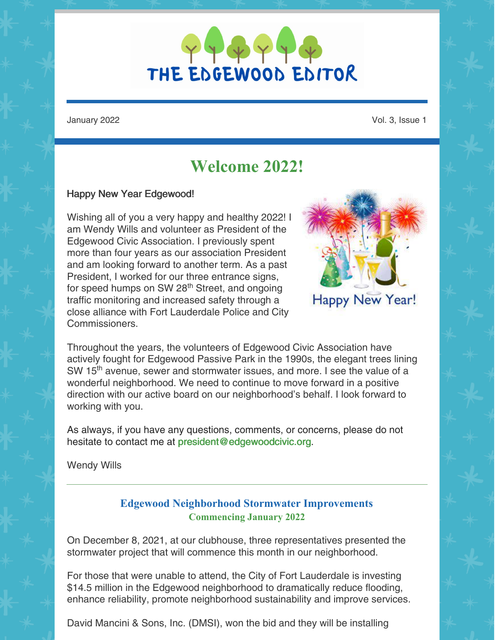

January 2022 Vol. 3, Issue 1

# **Welcome 2022!**

#### Happy New Year Edgewood!

Wishing all of you a very happy and healthy 2022! I am Wendy Wills and volunteer as President of the Edgewood Civic Association. I previously spent more than four years as our association President and am looking forward to another term. As a past President, I worked for our three entrance signs, for speed humps on SW 28<sup>th</sup> Street, and ongoing traffic monitoring and increased safety through a close alliance with Fort Lauderdale Police and City Commissioners.



Happy New Year!

Throughout the years, the volunteers of Edgewood Civic Association have actively fought for Edgewood Passive Park in the 1990s, the elegant trees lining SW 15<sup>th</sup> avenue, sewer and stormwater issues, and more. I see the value of a wonderful neighborhood. We need to continue to move forward in a positive direction with our active board on our neighborhood's behalf. I look forward to working with you.

As always, if you have any questions, comments, or concerns, please do not hesitate to contact me at [president@edgewoodcivic.org](mailto:president@edgewoodcivic.org).

Wendy Wills

### **Edgewood Neighborhood Stormwater Improvements Commencing January 2022**

On December 8, 2021, at our clubhouse, three representatives presented the stormwater project that will commence this month in our neighborhood.

For those that were unable to attend, the City of Fort Lauderdale is investing \$14.5 million in the Edgewood neighborhood to dramatically reduce flooding, enhance reliability, promote neighborhood sustainability and improve services.

David Mancini & Sons, Inc. (DMSI), won the bid and they will be installing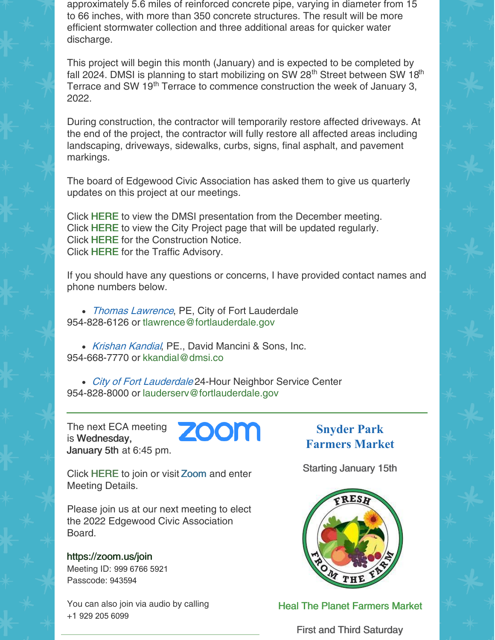approximately 5.6 miles of reinforced concrete pipe, varying in diameter from 15 to 66 inches, with more than 350 concrete structures. The result will be more efficient stormwater collection and three additional areas for quicker water discharge.

This project will begin this month (January) and is expected to be completed by fall 2024. DMSI is planning to start mobilizing on SW 28<sup>th</sup> Street between SW 18<sup>th</sup> Terrace and SW 19<sup>th</sup> Terrace to commence construction the week of January 3, 2022.

During construction, the contractor will temporarily restore affected driveways. At the end of the project, the contractor will fully restore all affected areas including landscaping, driveways, sidewalks, curbs, signs, final asphalt, and pavement markings.

The board of Edgewood Civic Association has asked them to give us quarterly updates on this project at our meetings.

Click [HERE](https://files.constantcontact.com/abbd2463801/f6b5db47-334a-4896-94b6-b82e5b57fdd1.pdf) to view the DMSI presentation from the December meeting. Click [HERE](https://www.fortlauderdale.gov/government/departments-i-z/public-works/engineering-division/edgewood-neighborhood-project) to view the City Project page that will be updated regularly. Click [HERE](https://www.fortlauderdale.gov/home/showpublisheddocument/64428/637753381558130000) for the Construction Notice. Click [HERE](https://www.fortlauderdale.gov/home/showpublisheddocument/64426/637753379924830000) for the Traffic Advisory.

If you should have any questions or concerns, I have provided contact names and phone numbers below.

• Thomas Lawrence, PE, City of Fort Lauderdale 954-828-6126 or [tlawrence@fortlauderdale.gov](mailto:tlawrence@fortlauderdale.gov)

• Krishan Kandial, PE., David Mancini & Sons, Inc. 954-668-7770 or [kkandial@dmsi.co](mailto:kkandial@dmsi.co)

• City of Fort Lauderdale 24-Hour Neighbor Service Center 954-828-8000 or [lauderserv@fortlauderdale.gov](mailto:lauderserv@fortlauderdale.gov)

**ZOOM** 

The next ECA meeting is Wednesday, January 5th at 6:45 pm.

Click [HERE](https://zoom.us/j/99967665921?pwd=NFZoZlhaV0N6R3pmQVUybnE3b3Rtdz09) to join or visit [Zoom](https://zoom.us/join) and enter Meeting Details.

Please join us at our next meeting to elect the 2022 Edgewood Civic Association Board.

<https://zoom.us/join> Meeting ID: 999 6766 5921 Passcode: 943594

You can also join via audio by calling +1 929 205 6099

**Snyder Park Farmers Market**

Starting January 15th



Heal The Planet Farmers Market

First and Third Saturday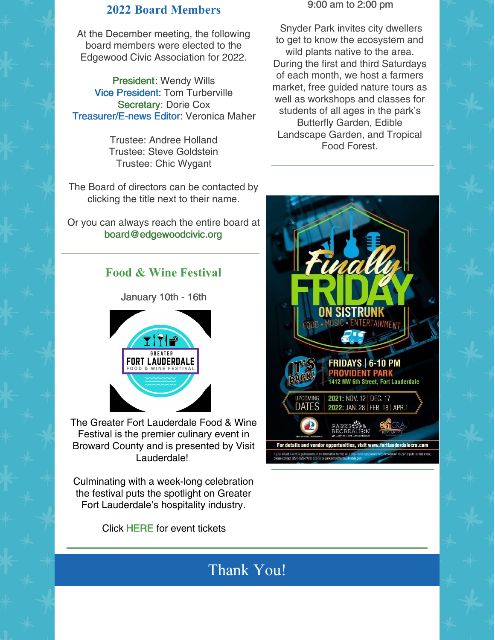### **2022 Board Members**

At the December meeting, the following board members were elected to the Edgewood Civic Association for 2022.

[President](mailto:president@edgewoodcivic.org): Wendy Wills Vice [President](mailto:vicepresident@edgewoodcivic.org): Tom Turberville [Secretary:](mailto:secretary@edgewoodcivic.org) Dorie Cox [Treasurer/E-news](mailto:treasurer@edgewoodcivic.org) Editor: Veronica Maher

> Trustee: Andree Holland Trustee: Steve Goldstein Trustee: Chic Wygant

The Board of directors can be contacted by clicking the title next to their name.

Or you can always reach the entire board at [board@edgewoodcivic.org](mailto:board@edgewoodcivic.org)

### **Food & Wine Festival**

January 10th - 16th



The Greater Fort Lauderdale Food & Wine Festival is the premier culinary event in Broward County and is presented by Visit Lauderdale!

Culminating with a week-long celebration the festival puts the spotlight on Greater Fort Lauderdale's hospitality industry.

Click [HERE](https://gflfoodwine.com/events/) for event tickets

#### 9:00 am to 2:00 pm

Snyder Park invites city dwellers to get to know the ecosystem and wild plants native to the area. During the first and third Saturdays of each month, we host a farmers market, free guided nature tours as well as workshops and classes for students of all ages in the park's Butterfly Garden, Edible Landscape Garden, and Tropical Food Forest.



# Thank You!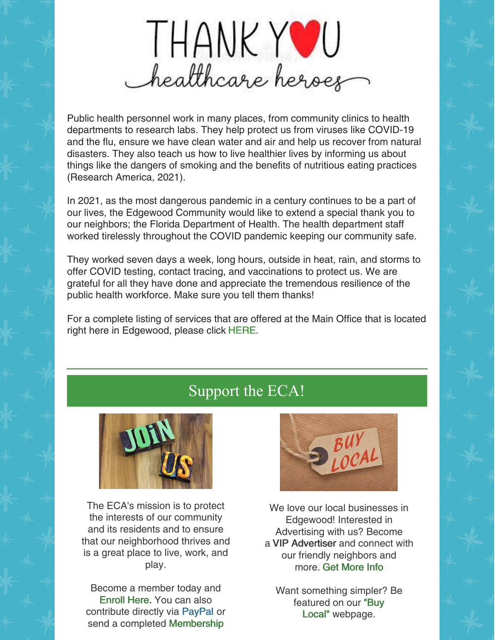

Public health personnel work in many places, from community clinics to health departments to research labs. They help protect us from viruses like COVID-19 and the flu, ensure we have clean water and air and help us recover from natural disasters. They also teach us how to live healthier lives by informing us about things like the dangers of smoking and the benefits of nutritious eating practices (Research America, 2021).

In 2021, as the most dangerous pandemic in a century continues to be a part of our lives, the Edgewood Community would like to extend a special thank you to our neighbors; the Florida Department of Health. The health department staff worked tirelessly throughout the COVID pandemic keeping our community safe.

They worked seven days a week, long hours, outside in heat, rain, and storms to offer COVID testing, contact tracing, and vaccinations to protect us. We are grateful for all they have done and appreciate the tremendous resilience of the public health workforce. Make sure you tell them thanks!

For a complete listing of services that are offered at the Main Office that is located right here in Edgewood, please click [HERE](http://broward.floridahealth.gov/locations/admin-building.html).

# Support the ECA!



The ECA's mission is to protect the interests of our community and its residents and to ensure that our neighborhood thrives and is a great place to live, work, and play.

Become a member today and [Enroll](https://edgewoodisgreat.company.site/) Here. You can also contribute directly via [PayPal](http://www.paypal.me/ECA954) or send a completed [Membership](https://files.constantcontact.com/abbd2463801/439edfd7-aa22-4307-8c76-8977b47a888b.pdf)



We love our local businesses in Edgewood! Interested in Advertising with us? Become a VIP Advertiser and connect with our friendly neighbors and more. Get [More](https://files.constantcontact.com/abbd2463801/afa8dee6-8a1a-4469-9cbd-5537adaae238.pdf) Info

Want something simpler? Be featured on our "Buy Local" [webpage.](https://www.edgewoodcivic.org/buy-local)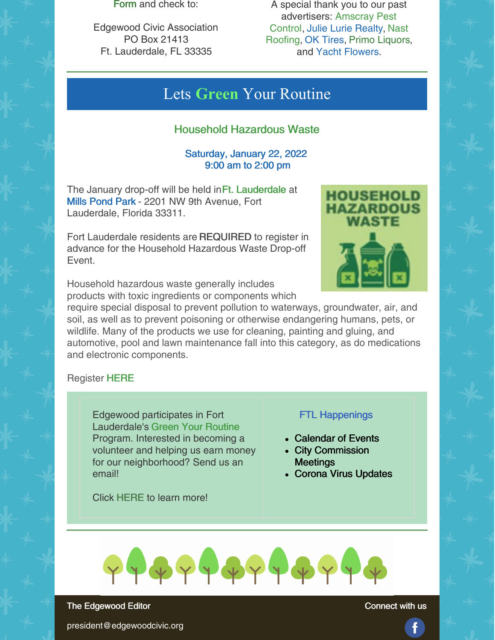Form and check to:

Edgewood Civic Association PO Box 21413 Ft. Lauderdale, FL 33335

A special thank you to our past [advertisers:](https://www.edgewoodcivic.org/buy-local) Amscray Pest Control, Julie Lurie [Realty](https://www.juliesellsfl.com/), Nast [Roofing,](https://nastroofing.com/) OK [Tires](https://www.oktireusa.com/), Primo [Liquors](https://www.primoliquors.com/home?page=1), and Yacht [Flowers](https://www.yachtflowers.com/).

## Lets **Green** Your Routine

### Household Hazardous Waste

### Saturday, January 22, 2022 9:00 am to 2:00 pm

The January drop-off will be held in Ft. Lauderdale at Mills Pond Park - 2201 NW 9th Avenue, Fort Lauderdale, Florida 33311.

Fort Lauderdale residents are [REQUIRED](https://gyr.fortlauderdale.gov/greener-government/recycling-waste-reduction/solid-waste-events/household-hazardous-waste-drop-off/hhw-register) to register in advance for the Household Hazardous Waste Drop-off Event.



Household hazardous waste generally includes products with toxic ingredients or components which

require special disposal to prevent pollution to waterways, groundwater, air, and soil, as well as to prevent poisoning or otherwise endangering humans, pets, or wildlife. Many of the products we use for cleaning, painting and gluing, and automotive, pool and lawn maintenance fall into this category, as do medications and electronic components.

#### Register [HERE](https://gyr.fortlauderdale.gov/greener-government/recycling-waste-reduction/solid-waste-events/household-hazardous-waste-drop-off/hhw-register)

Edgewood participates in Fort Lauderdale's Green Your Routine Program. Interested in becoming a volunteer and helping us earn money for our neighborhood? Send us an email!

Click [HERE](https://gyr.fortlauderdale.gov/greener-government/join-in/be-a-gyr-volunteer) to learn more!

## FTL Happenings

- [Calendar](https://www.fortlauderdale.gov/visitors/event-calendar/-curm-1/-cury-2022) of Events
- City [Commission](https://www.fortlauderdale.gov/government/departments-a-h/city-clerk-s-office/city-commission-meetings) **Meetings**
- Corona Virus [Updates](https://www.fortlauderdale.gov/Home/Components/News/News/4118/16?backlist=%2f)



The Edgewood Editor

Connect with us

president@edgewoodcivic.org